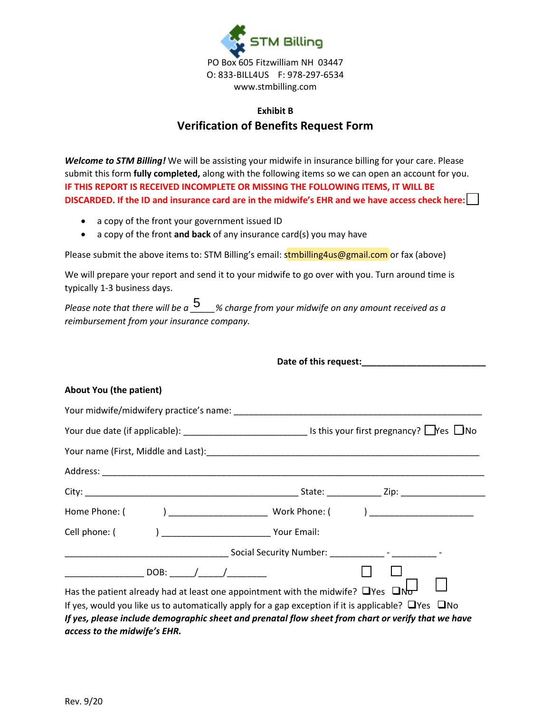

## **Exhibit B Verification of Benefits Request Form**

*Welcome to STM Billing!* We will be assisting your midwife in insurance billing for your care. Please submit this form **fully completed,** along with the following items so we can open an account for you. **IF THIS REPORT IS RECEIVED INCOMPLETE OR MISSING THE FOLLOWING ITEMS, IT WILL BE DISCARDED. If the ID and insurance card are in the midwife's EHR and we have access check here:** 

- a copy of the front your government issued ID
- a copy of the front **and back** of any insurance card(s) you may have

Please submit the above items to: STM Billing's email: stmbilling4us@gmail.com or fax (above)

We will prepare your report and send it to your midwife to go over with you. Turn around time is typically 1-3 business days.

## **About You (the patient)**

| reimbursement from your insurance company.                                                    | Please note that there will be $a \frac{5}{2}$ % charge from your midwife on any amount received as a                                                                                                                                                                                                                |  |
|-----------------------------------------------------------------------------------------------|----------------------------------------------------------------------------------------------------------------------------------------------------------------------------------------------------------------------------------------------------------------------------------------------------------------------|--|
|                                                                                               |                                                                                                                                                                                                                                                                                                                      |  |
| <b>About You (the patient)</b>                                                                |                                                                                                                                                                                                                                                                                                                      |  |
|                                                                                               |                                                                                                                                                                                                                                                                                                                      |  |
|                                                                                               |                                                                                                                                                                                                                                                                                                                      |  |
|                                                                                               |                                                                                                                                                                                                                                                                                                                      |  |
|                                                                                               |                                                                                                                                                                                                                                                                                                                      |  |
|                                                                                               |                                                                                                                                                                                                                                                                                                                      |  |
|                                                                                               |                                                                                                                                                                                                                                                                                                                      |  |
| Cell phone: (                                                                                 | ) ________________________________ Your Email:                                                                                                                                                                                                                                                                       |  |
|                                                                                               |                                                                                                                                                                                                                                                                                                                      |  |
| ___________________________DOB: ________/_______/____________<br>access to the midwife's EHR. | Has the patient already had at least one appointment with the midwife? $\Box$ Yes $\Box$ No-<br>If yes, would you like us to automatically apply for a gap exception if it is applicable? $\Box$ Yes $\Box$ No<br>If yes, please include demographic sheet and prenatal flow sheet from chart or verify that we have |  |
| Rev. 9/20                                                                                     |                                                                                                                                                                                                                                                                                                                      |  |